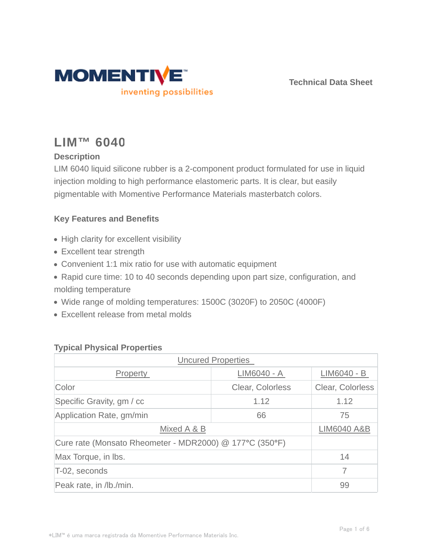

**Technical Data Sheet**

# **LIM™ 6040**

# **Description**

LIM 6040 liquid silicone rubber is a 2-component product formulated for use in liquid injection molding to high performance elastomeric parts. It is clear, but easily pigmentable with Momentive Performance Materials masterbatch colors.

# **Key Features and Benefits**

- High clarity for excellent visibility
- Excellent tear strength
- Convenient 1:1 mix ratio for use with automatic equipment
- Rapid cure time: 10 to 40 seconds depending upon part size, configuration, and molding temperature
- Wide range of molding temperatures: 1500C (3020F) to 2050C (4000F)
- Excellent release from metal molds

## **Typical Physical Properties**

| <b>Uncured Properties</b>                               |                  |                        |  |  |
|---------------------------------------------------------|------------------|------------------------|--|--|
| <b>Property</b>                                         | LIM6040 - A      | LIM6040 - B            |  |  |
| Color                                                   | Clear, Colorless | Clear, Colorless       |  |  |
| Specific Gravity, gm / cc                               | 1.12             | 1.12                   |  |  |
| Application Rate, gm/min                                | 66               | 75                     |  |  |
| Mixed A & B                                             |                  | <b>LIM6040 A&amp;B</b> |  |  |
| Cure rate (Monsato Rheometer - MDR2000) @ 177°C (350°F) |                  |                        |  |  |
| Max Torque, in Ibs.                                     |                  | 14                     |  |  |
| T-02, seconds                                           |                  |                        |  |  |
| Peak rate, in /lb./min.                                 |                  | 99                     |  |  |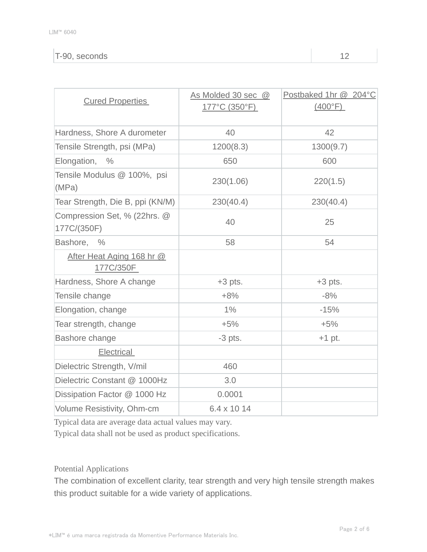## T-90, seconds 12

| <b>Cured Properties</b>                     | As Molded 30 sec @<br>177°C (350°F) | Postbaked 1hr @ 204°C<br>(400°F) |
|---------------------------------------------|-------------------------------------|----------------------------------|
| Hardness, Shore A durometer                 | 40                                  | 42                               |
| Tensile Strength, psi (MPa)                 | 1200(8.3)                           | 1300(9.7)                        |
| Elongation, %                               | 650                                 | 600                              |
| Tensile Modulus @ 100%, psi<br>(MPa)        | 230(1.06)                           | 220(1.5)                         |
| Tear Strength, Die B, ppi (KN/M)            | 230(40.4)                           | 230(40.4)                        |
| Compression Set, % (22hrs. @<br>177C/(350F) | 40                                  | 25                               |
| Bashore, %                                  | 58                                  | 54                               |
| After Heat Aging 168 hr @<br>177C/350F      |                                     |                                  |
| Hardness, Shore A change                    | $+3$ pts.                           | $+3$ pts.                        |
| Tensile change                              | $+8%$                               | $-8%$                            |
| Elongation, change                          | 1%                                  | $-15%$                           |
| Tear strength, change                       | $+5%$                               | $+5%$                            |
| Bashore change                              | $-3$ pts.                           | $+1$ pt.                         |
| <b>Electrical</b>                           |                                     |                                  |
| Dielectric Strength, V/mil                  | 460                                 |                                  |
| Dielectric Constant @ 1000Hz                | 3.0                                 |                                  |
| Dissipation Factor @ 1000 Hz                | 0.0001                              |                                  |
| Volume Resistivity, Ohm-cm                  | 6.4 x 10 14                         |                                  |

Typical data are average data actual values may vary.

Typical data shall not be used as product specifications.

Potential Applications

The combination of excellent clarity, tear strength and very high tensile strength makes this product suitable for a wide variety of applications.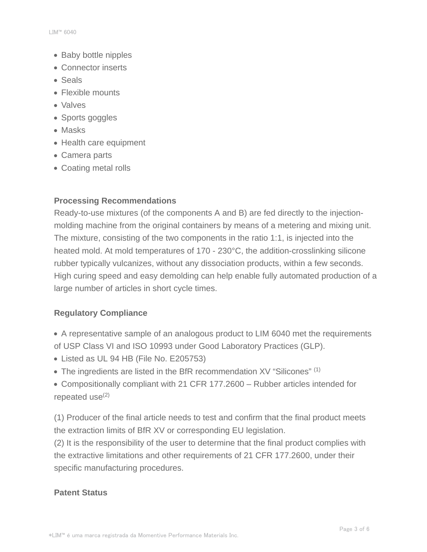- Baby bottle nipples
- Connector inserts
- Seals
- Flexible mounts
- Valves
- Sports goggles
- Masks
- Health care equipment
- Camera parts
- Coating metal rolls

## **Processing Recommendations**

Ready-to-use mixtures (of the components A and B) are fed directly to the injectionmolding machine from the original containers by means of a metering and mixing unit. The mixture, consisting of the two components in the ratio 1:1, is injected into the heated mold. At mold temperatures of 170 - 230°C, the addition-crosslinking silicone rubber typically vulcanizes, without any dissociation products, within a few seconds. High curing speed and easy demolding can help enable fully automated production of a large number of articles in short cycle times.

## **Regulatory Compliance**

- A representative sample of an analogous product to LIM 6040 met the requirements of USP Class VI and ISO 10993 under Good Laboratory Practices (GLP).
- Listed as UL 94 HB (File No. E205753)
- The ingredients are listed in the BfR recommendation XV "Silicones" (1)
- Compositionally compliant with 21 CFR 177.2600 Rubber articles intended for repeated use $(2)$

(1) Producer of the final article needs to test and confirm that the final product meets the extraction limits of BfR XV or corresponding EU legislation.

(2) It is the responsibility of the user to determine that the final product complies with the extractive limitations and other requirements of 21 CFR 177.2600, under their specific manufacturing procedures.

## **Patent Status**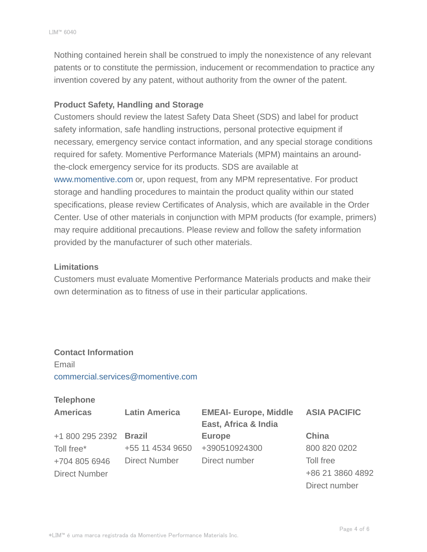Nothing contained herein shall be construed to imply the nonexistence of any relevant patents or to constitute the permission, inducement or recommendation to practice any invention covered by any patent, without authority from the owner of the patent.

### **Product Safety, Handling and Storage**

Customers should review the latest Safety Data Sheet (SDS) and label for product safety information, safe handling instructions, personal protective equipment if necessary, emergency service contact information, and any special storage conditions required for safety. Momentive Performance Materials (MPM) maintains an aroundthe-clock emergency service for its products. SDS are available at www.momentive.com or, upon request, from any MPM representative. For product storage and handling procedures to maintain the product quality within our stated specifications, please review Certificates of Analysis, which are available in the Order Center. Use of other materials in conjunction with MPM products (for example, primers) may require additional precautions. Please review and follow the safety information provided by the manufacturer of such other materials.

#### **Limitations**

Customers must evaluate Momentive Performance Materials products and make their own determination as to fitness of use in their particular applications.

# **Contact Information** Email commercial.services@momentive.com

### **Telephone**

| <b>Americas</b>      | <b>Latin America</b> | <b>EMEAI- Europe, Middle</b> | <b>ASIA PACIFIC</b> |
|----------------------|----------------------|------------------------------|---------------------|
|                      |                      | East, Africa & India         |                     |
| +1 800 295 2392      | <b>Brazil</b>        | <b>Europe</b>                | China               |
| Toll free*           | +55 11 4534 9650     | +390510924300                | 800 820 0202        |
| +704 805 6946        | <b>Direct Number</b> | Direct number                | Toll free           |
| <b>Direct Number</b> |                      |                              | +86 21 3860 4892    |
|                      |                      |                              | Direct number       |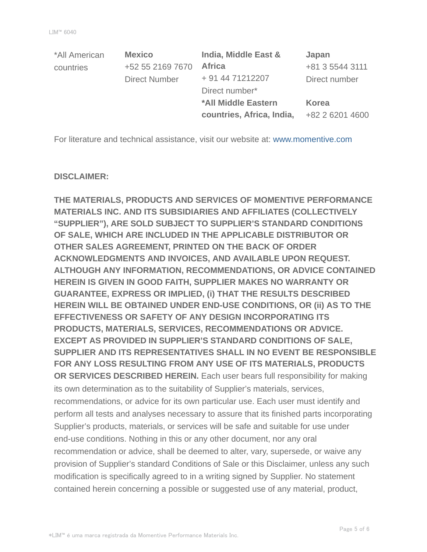| *All American | <b>Mexico</b>        | India, Middle East &       | Japan           |
|---------------|----------------------|----------------------------|-----------------|
| countries     | +52 55 2169 7670     | <b>Africa</b>              | +81 3 5544 3111 |
|               | <b>Direct Number</b> | + 91 44 71212207           | Direct number   |
|               |                      | Direct number*             |                 |
|               |                      | <b>*All Middle Eastern</b> | <b>Korea</b>    |
|               |                      | countries, Africa, India,  | +82 2 6201 4600 |

For literature and technical assistance, visit our website at: www.momentive.com

#### **DISCLAIMER:**

**THE MATERIALS, PRODUCTS AND SERVICES OF MOMENTIVE PERFORMANCE MATERIALS INC. AND ITS SUBSIDIARIES AND AFFILIATES (COLLECTIVELY "SUPPLIER"), ARE SOLD SUBJECT TO SUPPLIER'S STANDARD CONDITIONS OF SALE, WHICH ARE INCLUDED IN THE APPLICABLE DISTRIBUTOR OR OTHER SALES AGREEMENT, PRINTED ON THE BACK OF ORDER ACKNOWLEDGMENTS AND INVOICES, AND AVAILABLE UPON REQUEST. ALTHOUGH ANY INFORMATION, RECOMMENDATIONS, OR ADVICE CONTAINED HEREIN IS GIVEN IN GOOD FAITH, SUPPLIER MAKES NO WARRANTY OR GUARANTEE, EXPRESS OR IMPLIED, (i) THAT THE RESULTS DESCRIBED HEREIN WILL BE OBTAINED UNDER END-USE CONDITIONS, OR (ii) AS TO THE EFFECTIVENESS OR SAFETY OF ANY DESIGN INCORPORATING ITS PRODUCTS, MATERIALS, SERVICES, RECOMMENDATIONS OR ADVICE. EXCEPT AS PROVIDED IN SUPPLIER'S STANDARD CONDITIONS OF SALE, SUPPLIER AND ITS REPRESENTATIVES SHALL IN NO EVENT BE RESPONSIBLE FOR ANY LOSS RESULTING FROM ANY USE OF ITS MATERIALS, PRODUCTS OR SERVICES DESCRIBED HEREIN.** Each user bears full responsibility for making its own determination as to the suitability of Supplier's materials, services, recommendations, or advice for its own particular use. Each user must identify and perform all tests and analyses necessary to assure that its finished parts incorporating Supplier's products, materials, or services will be safe and suitable for use under end-use conditions. Nothing in this or any other document, nor any oral recommendation or advice, shall be deemed to alter, vary, supersede, or waive any provision of Supplier's standard Conditions of Sale or this Disclaimer, unless any such modification is specifically agreed to in a writing signed by Supplier. No statement contained herein concerning a possible or suggested use of any material, product,